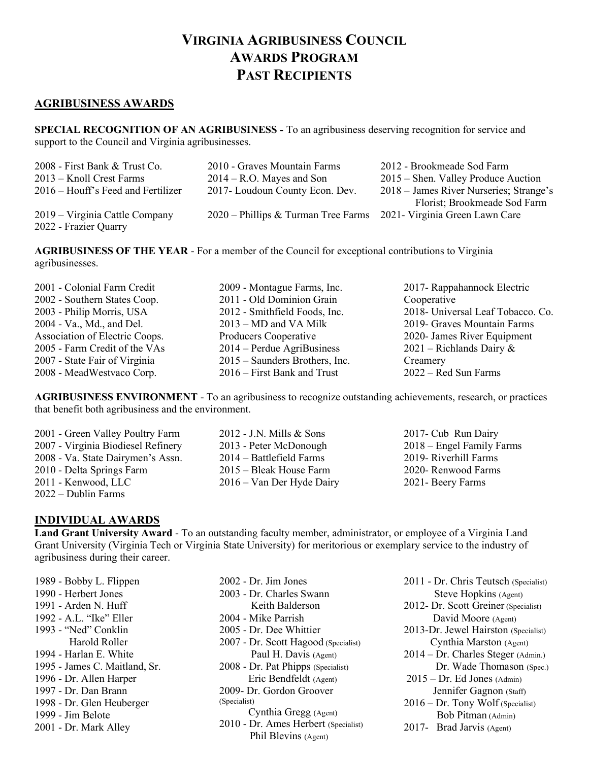## VIRGINIA AGRIBUSINESS COUNCIL AWARDS PROGRAM PAST RECIPIENTS

## AGRIBUSINESS AWARDS

SPECIAL RECOGNITION OF AN AGRIBUSINESS - To an agribusiness deserving recognition for service and support to the Council and Virginia agribusinesses.

| 2008 - First Bank & Trust Co.      | 2010 - Graves Mountain Farms                                        | 2012 - Brookmeade Sod Farm              |
|------------------------------------|---------------------------------------------------------------------|-----------------------------------------|
| 2013 – Knoll Crest Farms           | $2014 - R.O.$ Mayes and Son                                         | $2015$ – Shen. Valley Produce Auction   |
| 2016 – Houff's Feed and Fertilizer | 2017- Loudoun County Econ. Dev.                                     | 2018 – James River Nurseries; Strange's |
|                                    |                                                                     | Florist; Brookmeade Sod Farm            |
| 2019 – Virginia Cattle Company     | 2020 – Phillips & Turman Tree Farms 2021 - Virginia Green Lawn Care |                                         |
| 2022 - Frazier Quarry              |                                                                     |                                         |

AGRIBUSINESS OF THE YEAR - For a member of the Council for exceptional contributions to Virginia agribusinesses.

| 2001 - Colonial Farm Credit    | 2009 - Montague Farms, Inc.    | 2017- Rappahannock Electric       |
|--------------------------------|--------------------------------|-----------------------------------|
| 2002 - Southern States Coop.   | 2011 - Old Dominion Grain      | Cooperative                       |
| 2003 - Philip Morris, USA      | 2012 - Smithfield Foods, Inc.  | 2018- Universal Leaf Tobacco. Co. |
| 2004 - Va., Md., and Del.      | $2013 - MD$ and VA Milk        | 2019- Graves Mountain Farms       |
| Association of Electric Coops. | Producers Cooperative          | 2020- James River Equipment       |
| 2005 - Farm Credit of the VAs  | $2014$ – Perdue AgriBusiness   | 2021 – Richlands Dairy $\&$       |
| 2007 - State Fair of Virginia  | 2015 – Saunders Brothers, Inc. | Creamery                          |
| 2008 - MeadWestvaco Corp.      | $2016$ – First Bank and Trust  | $2022 - Red Sun Farms$            |
|                                |                                |                                   |

AGRIBUSINESS ENVIRONMENT - To an agribusiness to recognize outstanding achievements, research, or practices that benefit both agribusiness and the environment.

2001 - Green Valley Poultry Farm 2007 - Virginia Biodiesel Refinery 2008 - Va. State Dairymen's Assn. 2010 - Delta Springs Farm 2011 - Kenwood, LLC 2022 – Dublin Farms

- 2012 J.N. Mills & Sons 2013 - Peter McDonough 2014 – Battlefield Farms 2015 – Bleak House Farm 2016 – Van Der Hyde Dairy
- 2017- Cub Run Dairy 2018 – Engel Family Farms 2019- Riverhill Farms 2020- Renwood Farms 2021- Beery Farms

## INDIVIDUAL AWARDS

Land Grant University Award - To an outstanding faculty member, administrator, or employee of a Virginia Land Grant University (Virginia Tech or Virginia State University) for meritorious or exemplary service to the industry of agribusiness during their career.

1989 - Bobby L. Flippen 1990 - Herbert Jones 1991 - Arden N. Huff 1992 - A.L. "Ike" Eller 1993 - "Ned" Conklin Harold Roller 1994 - Harlan E. White 1995 - James C. Maitland, Sr. 1996 - Dr. Allen Harper 1997 - Dr. Dan Brann 1998 - Dr. Glen Heuberger 1999 - Jim Belote 2001 - Dr. Mark Alley

2002 - Dr. Jim Jones 2003 - Dr. Charles Swann Keith Balderson 2004 - Mike Parrish 2005 - Dr. Dee Whittier 2007 - Dr. Scott Hagood (Specialist) Paul H. Davis (Agent) 2008 - Dr. Pat Phipps (Specialist) Eric Bendfeldt (Agent) 2009- Dr. Gordon Groover (Specialist) Cynthia Gregg (Agent) 2010 - Dr. Ames Herbert (Specialist) Phil Blevins (Agent)

- 2011 Dr. Chris Teutsch (Specialist) Steve Hopkins (Agent)
- 2012- Dr. Scott Greiner (Specialist) David Moore (Agent) 2013-Dr. Jewel Hairston (Specialist)
- Cynthia Marston (Agent) 2014 – Dr. Charles Steger (Admin.)
- Dr. Wade Thomason (Spec.)
- $2015 Dr.$  Ed Jones (Admin) Jennifer Gagnon (Staff)
- 2016 Dr. Tony Wolf (Specialist) Bob Pitman (Admin)
- 2017- Brad Jarvis (Agent)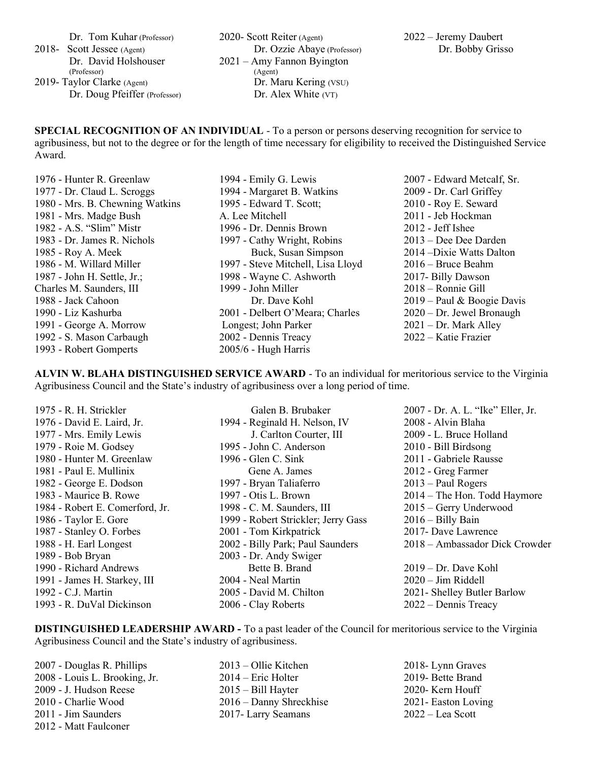Dr. Tom Kuhar (Professor)

2018- Scott Jessee (Agent) Dr. David Holshouser (Professor) 2019- Taylor Clarke (Agent)

Dr. Doug Pfeiffer (Professor)

2020- Scott Reiter (Agent) Dr. Ozzie Abaye (Professor) 2021 – Amy Fannon Byington (Agent) Dr. Maru Kering (VSU) Dr. Alex White (VT)

SPECIAL RECOGNITION OF AN INDIVIDUAL - To a person or persons deserving recognition for service to agribusiness, but not to the degree or for the length of time necessary for eligibility to received the Distinguished Service Award.

- 1976 Hunter R. Greenlaw 1977 - Dr. Claud L. Scroggs 1980 - Mrs. B. Chewning Watkins 1981 - Mrs. Madge Bush 1982 - A.S. "Slim" Mistr 1983 - Dr. James R. Nichols 1985 - Roy A. Meek 1986 - M. Willard Miller 1987 - John H. Settle, Jr.; Charles M. Saunders, III 1988 - Jack Cahoon 1990 - Liz Kashurba 1991 - George A. Morrow 1992 - S. Mason Carbaugh 1993 - Robert Gomperts
- 1994 Emily G. Lewis 1994 - Margaret B. Watkins 1995 - Edward T. Scott; A. Lee Mitchell 1996 - Dr. Dennis Brown 1997 - Cathy Wright, Robins Buck, Susan Simpson 1997 - Steve Mitchell, Lisa Lloyd 1998 - Wayne C. Ashworth 1999 - John Miller Dr. Dave Kohl 2001 - Delbert O'Meara; Charles Longest; John Parker 2002 - Dennis Treacy 2005/6 - Hugh Harris

2007 - Edward Metcalf, Sr. 2009 - Dr. Carl Griffey 2010 - Roy E. Seward 2011 - Jeb Hockman 2012 - Jeff Ishee 2013 – Dee Dee Darden 2014 –Dixie Watts Dalton 2016 – Bruce Beahm 2017- Billy Dawson 2018 – Ronnie Gill 2019 – Paul & Boogie Davis 2020 – Dr. Jewel Bronaugh 2021 – Dr. Mark Alley 2022 – Katie Frazier

ALVIN W. BLAHA DISTINGUISHED SERVICE AWARD - To an individual for meritorious service to the Virginia Agribusiness Council and the State's industry of agribusiness over a long period of time.

1975 - R. H. Strickler 1976 - David E. Laird, Jr. 1977 - Mrs. Emily Lewis 1979 - Roie M. Godsey 1980 - Hunter M. Greenlaw 1981 - Paul E. Mullinix 1982 - George E. Dodson 1983 - Maurice B. Rowe 1984 - Robert E. Comerford, Jr. 1986 - Taylor E. Gore 1987 - Stanley O. Forbes 1988 - H. Earl Longest 1989 - Bob Bryan 1990 - Richard Andrews 1991 - James H. Starkey, III 1992 - C.J. Martin 1993 - R. DuVal Dickinson Galen B. Brubaker 1994 - Reginald H. Nelson, IV J. Carlton Courter, III 1995 - John C. Anderson 1996 - Glen C. Sink Gene A. James 1997 - Bryan Taliaferro 1997 - Otis L. Brown 1998 - C. M. Saunders, III 1999 - Robert Strickler; Jerry Gass 2001 - Tom Kirkpatrick 2002 - Billy Park; Paul Saunders 2003 - Dr. Andy Swiger Bette B. Brand 2004 - Neal Martin 2005 - David M. Chilton 2006 - Clay Roberts 2007 - Dr. A. L. "Ike" Eller, Jr. 2008 - Alvin Blaha 2009 - L. Bruce Holland 2010 - Bill Birdsong 2011 - Gabriele Rausse 2012 - Greg Farmer 2013 – Paul Rogers 2014 – The Hon. Todd Haymore 2015 – Gerry Underwood 2016 – Billy Bain 2017- Dave Lawrence 2018 – Ambassador Dick Crowder 2019 – Dr. Dave Kohl 2020 – Jim Riddell 2021- Shelley Butler Barlow 2022 – Dennis Treacy

DISTINGUISHED LEADERSHIP AWARD - To a past leader of the Council for meritorious service to the Virginia Agribusiness Council and the State's industry of agribusiness.

- 2007 Douglas R. Phillips 2008 - Louis L. Brooking, Jr. 2009 - J. Hudson Reese 2010 - Charlie Wood 2011 - Jim Saunders 2012 - Matt Faulconer
- 2013 Ollie Kitchen 2014 – Eric Holter 2015 – Bill Hayter 2016 – Danny Shreckhise 2017- Larry Seamans
- 2018- Lynn Graves 2019- Bette Brand 2020- Kern Houff 2021- Easton Loving 2022 – Lea Scott